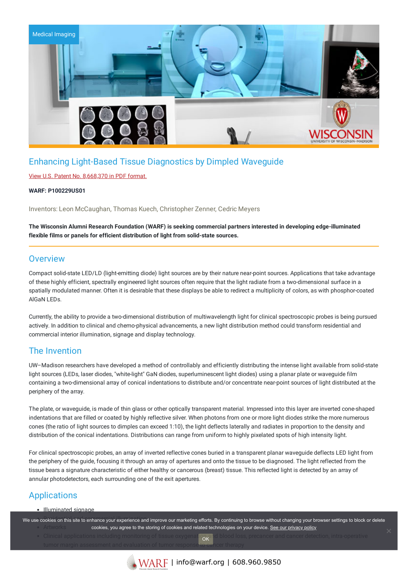

## Enhancing Light-Based Tissue Diagnostics by Dimpled Waveguide

### View U.S. Patent No. [8,668,370](https://www.warf.org/wp-content/uploads/technologies/ipstatus/P100229US01.PDF) in PDF format.

#### **WARF: P100229US01**

Inventors: Leon McCaughan, Thomas Kuech, Christopher Zenner, Cedric Meyers

**The Wisconsin Alumni Research Foundation (WARF) is seeking commercial partners interested in developing edge-illuminated flexible films or panels for efficient distribution of light from solid-state sources.**

### **Overview**

Compact solid-state LED/LD (light-emitting diode) light sources are by their nature near-point sources. Applications that take advantage of these highly efficient, spectrally engineered light sources often require that the light radiate from a two-dimensional surface in a spatially modulated manner. Often it is desirable that these displays be able to redirect a multiplicity of colors, as with phosphor-coated AlGaN LEDs.

Currently, the ability to provide a two-dimensional distribution of multiwavelength light for clinical spectroscopic probes is being pursued actively. In addition to clinical and chemo-physical advancements, a new light distribution method could transform residential and commercial interior illumination, signage and display technology.

## The Invention

UW–Madison researchers have developed a method of controllably and efficiently distributing the intense light available from solid-state light sources (LEDs, laser diodes, "white-light" GaN diodes, superluminescent light diodes) using a planar plate or waveguide film containing a two-dimensional array of conical indentations to distribute and/or concentrate near-point sources of light distributed at the periphery of the array.

The plate, or waveguide, is made of thin glass or other optically transparent material. Impressed into this layer are inverted cone-shaped indentations that are filled or coated by highly reflective silver. When photons from one or more light diodes strike the more numerous cones (the ratio of light sources to dimples can exceed 1:10), the light deflects laterally and radiates in proportion to the density and distribution of the conical indentations. Distributions can range from uniform to highly pixelated spots of high intensity light.

For clinical spectroscopic probes, an array of inverted reflective cones buried in a transparent planar waveguide deflects LED light from the periphery of the guide, focusing it through an array of apertures and onto the tissue to be diagnosed. The light reflected from the tissue bears a signature characteristic of either healthy or cancerous (breast) tissue. This reflected light is detected by an array of annular photodetectors, each surrounding one of the exit apertures.

# Applications

#### • Illuminated signage

We use cookies on this site to enhance your experience and improve our marketing efforts. By continuing to browse without changing your browser settings to block or delete cookies, you agree to the storing of cookies and related technologies on your device. [See our privacy policy](https://www.warf.org/privacy-policy/)

tumor margin assessment and evaluation of tumor response to cancer therapy OK